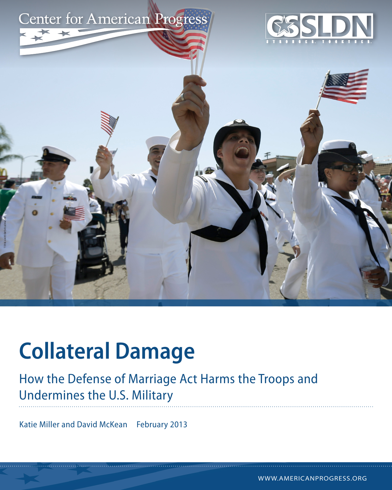

# **Collateral Damage**

### How the Defense of Marriage Act Harms the Troops and Undermines the U.S. Military

Katie Miller and David McKean February 2013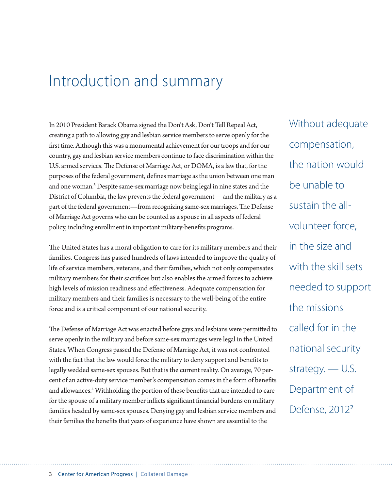## Introduction and summary

In 2010 President Barack Obama signed the Don't Ask, Don't Tell Repeal Act, creating a path to allowing gay and lesbian service members to serve openly for the first time. Although this was a monumental achievement for our troops and for our country, gay and lesbian service members continue to face discrimination within the U.S. armed services. The Defense of Marriage Act, or DOMA, is a law that, for the purposes of the federal government, defines marriage as the union between one man and one woman.<sup>3</sup> Despite same-sex marriage now being legal in nine states and the District of Columbia, the law prevents the federal government— and the military as a part of the federal government—from recognizing same-sex marriages. The Defense of Marriage Act governs who can be counted as a spouse in all aspects of federal policy, including enrollment in important military-benefits programs.

The United States has a moral obligation to care for its military members and their families. Congress has passed hundreds of laws intended to improve the quality of life of service members, veterans, and their families, which not only compensates military members for their sacrifices but also enables the armed forces to achieve high levels of mission readiness and effectiveness. Adequate compensation for military members and their families is necessary to the well-being of the entire force and is a critical component of our national security.

The Defense of Marriage Act was enacted before gays and lesbians were permitted to serve openly in the military and before same-sex marriages were legal in the United States. When Congress passed the Defense of Marriage Act, it was not confronted with the fact that the law would force the military to deny support and benefits to legally wedded same-sex spouses. But that is the current reality. On average, 70 percent of an active-duty service member's compensation comes in the form of benefits and allowances.<sup>4</sup> Withholding the portion of these benefits that are intended to care for the spouse of a military member inflicts significant financial burdens on military families headed by same-sex spouses. Denying gay and lesbian service members and their families the benefits that years of experience have shown are essential to the

Without adequate compensation, the nation would be unable to sustain the allvolunteer force, in the size and with the skill sets needed to support the missions called for in the national security strategy. — U.S. Department of Defense, 2012<sup>2</sup>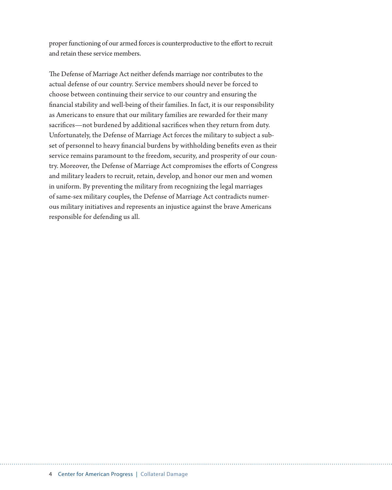proper functioning of our armed forces is counterproductive to the effort to recruit and retain these service members.

The Defense of Marriage Act neither defends marriage nor contributes to the actual defense of our country. Service members should never be forced to choose between continuing their service to our country and ensuring the financial stability and well-being of their families. In fact, it is our responsibility as Americans to ensure that our military families are rewarded for their many sacrifices—not burdened by additional sacrifices when they return from duty. Unfortunately, the Defense of Marriage Act forces the military to subject a subset of personnel to heavy financial burdens by withholding benefits even as their service remains paramount to the freedom, security, and prosperity of our country. Moreover, the Defense of Marriage Act compromises the efforts of Congress and military leaders to recruit, retain, develop, and honor our men and women in uniform. By preventing the military from recognizing the legal marriages of same-sex military couples, the Defense of Marriage Act contradicts numerous military initiatives and represents an injustice against the brave Americans responsible for defending us all.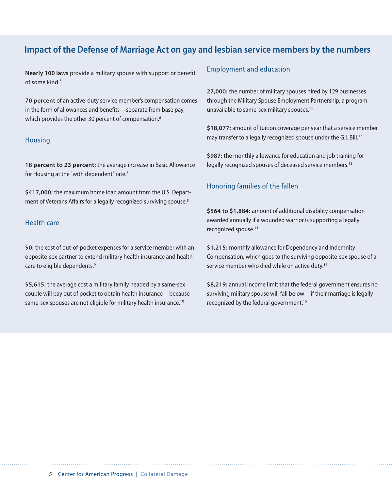### **Impact of the Defense of Marriage Act on gay and lesbian service members by the numbers**

**Nearly 100 laws** provide a military spouse with support or benefit of some kind $5$ 

**70 percent** of an active-duty service member's compensation comes in the form of allowances and benefits—separate from base pay, which provides the other 30 percent of compensation.<sup>6</sup>

#### **Housing**

**18 percent to 23 percent:** the average increase in Basic Allowance for Housing at the "with dependent" rate.<sup>7</sup>

**\$417,000:** the maximum home loan amount from the U.S. Department of Veterans Affairs for a legally recognized surviving spouse.<sup>8</sup>

#### Health care

**\$0:** the cost of out-of-pocket expenses for a service member with an opposite-sex partner to extend military health insurance and health care to eligible dependents.<sup>9</sup>

**\$5,615:** the average cost a military family headed by a same-sex couple will pay out of pocket to obtain health insurance—because same-sex spouses are not eligible for military health insurance.<sup>10</sup>

#### Employment and education

**27,000:** the number of military spouses hired by 129 businesses through the Military Spouse Employment Partnership, a program unavailable to same-sex military spouses.<sup>11</sup>

**\$18,077:** amount of tuition coverage per year that a service member may transfer to a legally recognized spouse under the G.I. Bill.<sup>12</sup>

**\$987:** the monthly allowance for education and job training for legally recognized spouses of deceased service members.<sup>13</sup>

#### Honoring families of the fallen

**\$564 to \$1,884:** amount of additional disability compensation awarded annually if a wounded warrior is supporting a legally recognized spouse.<sup>14</sup>

**\$1,215:** monthly allowance for Dependency and Indemnity Compensation, which goes to the surviving opposite-sex spouse of a service member who died while on active duty.<sup>15</sup>

**\$8,219:** annual income limit that the federal government ensures no surviving military spouse will fall below—if their marriage is legally recognized by the federal government.<sup>16</sup>